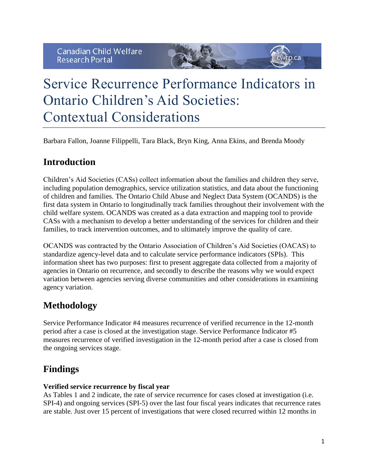# Service Recurrence Performance Indicators in Ontario Children's Aid Societies: Contextual Considerations

Barbara Fallon, Joanne Filippelli, Tara Black, Bryn King, Anna Ekins, and Brenda Moody

## **Introduction**

Children's Aid Societies (CASs) collect information about the families and children they serve, including population demographics, service utilization statistics, and data about the functioning of children and families. The Ontario Child Abuse and Neglect Data System (OCANDS) is the first data system in Ontario to longitudinally track families throughout their involvement with the child welfare system. OCANDS was created as a data extraction and mapping tool to provide CASs with a mechanism to develop a better understanding of the services for children and their families, to track intervention outcomes, and to ultimately improve the quality of care.

OCANDS was contracted by the Ontario Association of Children's Aid Societies (OACAS) to standardize agency-level data and to calculate service performance indicators (SPIs). This information sheet has two purposes: first to present aggregate data collected from a majority of agencies in Ontario on recurrence, and secondly to describe the reasons why we would expect variation between agencies serving diverse communities and other considerations in examining agency variation.

## **Methodology**

Service Performance Indicator #4 measures recurrence of verified recurrence in the 12-month period after a case is closed at the investigation stage. Service Performance Indicator #5 measures recurrence of verified investigation in the 12-month period after a case is closed from the ongoing services stage.

# **Findings**

## **Verified service recurrence by fiscal year**

As Tables 1 and 2 indicate, the rate of service recurrence for cases closed at investigation (i.e. SPI-4) and ongoing services (SPI-5) over the last four fiscal years indicates that recurrence rates are stable. Just over 15 percent of investigations that were closed recurred within 12 months in

 $p.ca$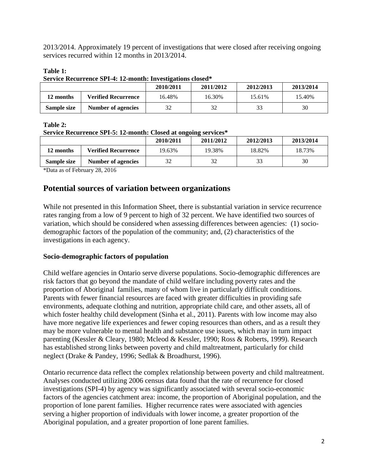2013/2014. Approximately 19 percent of investigations that were closed after receiving ongoing services recurred within 12 months in 2013/2014.

## **Table 1:**

**Service Recurrence SPI-4: 12-month: Investigations closed\***

|             |                            | 2010/2011 | 2011/2012 | 2012/2013 | 2013/2014 |
|-------------|----------------------------|-----------|-----------|-----------|-----------|
| 12 months   | <b>Verified Recurrence</b> | 16.48%    | 16.30%    | 15.61%    | 15.40%    |
| Sample size | Number of agencies         | 32        | 32        | 33        | 30        |

## **Table 2:**

**Service Recurrence SPI-5: 12-month: Closed at ongoing services\***

|             |                            | 2010/2011 | 2011/2012 | 2012/2013 | 2013/2014 |
|-------------|----------------------------|-----------|-----------|-----------|-----------|
| 12 months   | <b>Verified Recurrence</b> | 19.63%    | 19.38%    | 18.82%    | 18.73%    |
| Sample size | <b>Number of agencies</b>  |           | 32        | 33        | 30        |

\*Data as of February 28, 2016

## **Potential sources of variation between organizations**

While not presented in this Information Sheet, there is substantial variation in service recurrence rates ranging from a low of 9 percent to high of 32 percent. We have identified two sources of variation, which should be considered when assessing differences between agencies: (1) sociodemographic factors of the population of the community; and, (2) characteristics of the investigations in each agency.

## **Socio-demographic factors of population**

Child welfare agencies in Ontario serve diverse populations. Socio-demographic differences are risk factors that go beyond the mandate of child welfare including poverty rates and the proportion of Aboriginal families, many of whom live in particularly difficult conditions. Parents with fewer financial resources are faced with greater difficulties in providing safe environments, adequate clothing and nutrition, appropriate child care, and other assets, all of which foster healthy child development (Sinha et al., 2011). Parents with low income may also have more negative life experiences and fewer coping resources than others, and as a result they may be more vulnerable to mental health and substance use issues, which may in turn impact parenting (Kessler & Cleary, 1980; Mcleod & Kessler, 1990; Ross & Roberts, 1999). Research has established strong links between poverty and child maltreatment, particularly for child neglect (Drake & Pandey, 1996; Sedlak & Broadhurst, 1996).

Ontario recurrence data reflect the complex relationship between poverty and child maltreatment. Analyses conducted utilizing 2006 census data found that the rate of recurrence for closed investigations (SPI-4) by agency was significantly associated with several socio-economic factors of the agencies catchment area: income, the proportion of Aboriginal population, and the proportion of lone parent families. Higher recurrence rates were associated with agencies serving a higher proportion of individuals with lower income, a greater proportion of the Aboriginal population, and a greater proportion of lone parent families.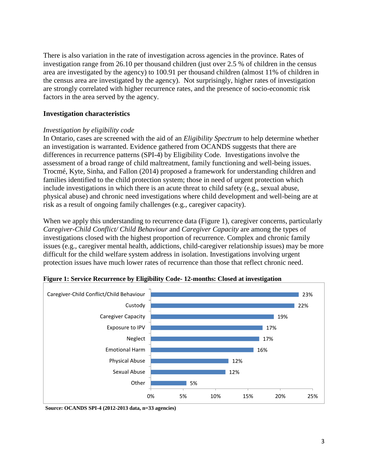There is also variation in the rate of investigation across agencies in the province. Rates of investigation range from 26.10 per thousand children (just over 2.5 % of children in the census area are investigated by the agency) to 100.91 per thousand children (almost 11% of children in the census area are investigated by the agency). Not surprisingly, higher rates of investigation are strongly correlated with higher recurrence rates, and the presence of socio-economic risk factors in the area served by the agency.

## **Investigation characteristics**

#### *Investigation by eligibility code*

In Ontario, cases are screened with the aid of an *Eligibility Spectrum* to help determine whether an investigation is warranted. Evidence gathered from OCANDS suggests that there are differences in recurrence patterns (SPI-4) by Eligibility Code. Investigations involve the assessment of a broad range of child maltreatment, family functioning and well-being issues. Trocmé, Kyte, Sinha, and Fallon (2014) proposed a framework for understanding children and families identified to the child protection system; those in need of urgent protection which include investigations in which there is an acute threat to child safety (e.g., sexual abuse, physical abuse) and chronic need investigations where child development and well-being are at risk as a result of ongoing family challenges (e.g., caregiver capacity).

When we apply this understanding to recurrence data (Figure 1), caregiver concerns, particularly *Caregiver-Child Conflict/ Child Behaviour* and *Caregiver Capacity* are among the types of investigations closed with the highest proportion of recurrence. Complex and chronic family issues (e.g., caregiver mental health, addictions, child-caregiver relationship issues) may be more difficult for the child welfare system address in isolation. Investigations involving urgent protection issues have much lower rates of recurrence than those that reflect chronic need.



**Figure 1: Service Recurrence by Eligibility Code- 12-months: Closed at investigation**

**Source: OCANDS SPI-4 (2012-2013 data, n=33 agencies)**